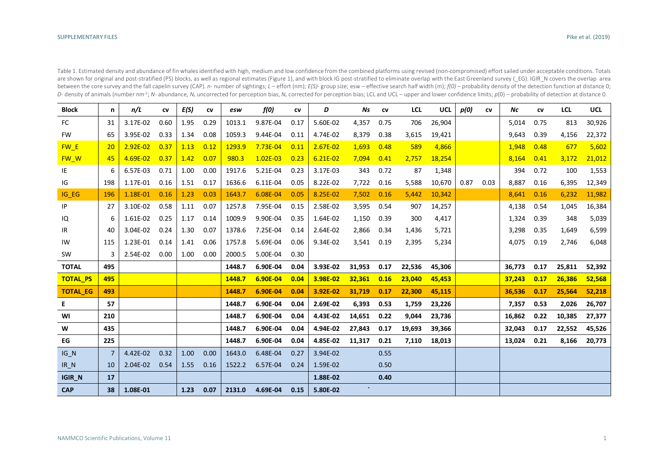| Table 1. Estimated density and abundance of fin whales identified with high, medium and low confidence from the combined platforms using revised (non-compromised) effort sailed under acceptable conditions. Totals                                        |
|-------------------------------------------------------------------------------------------------------------------------------------------------------------------------------------------------------------------------------------------------------------|
| are shown for original and post-stratified (PS) blocks, as well as regional estimates (Figure 1), and with block IG post-stratified to eliminate overlap with the East Greenland survey (EG). IGIR N covers the overlap area                                |
| between the core survey and the fall capelin survey (CAP). n- number of sightings; L - effort (nm); E(S)- group size; esw - effective search half width (m); $f(0)$ - probability density of the detection function at distanc                              |
| D- density of animals (number nm <sup>-2</sup> ; N- abundance, N <sub>5</sub> uncorrected for perception bias, N <sub>c</sub> corrected for perception bias; LCL and UCL - upper and lower confidence limits; $p(0)$ - probability of detection at distance |

| <b>Block</b>    | n              | n/L        | CV   | E(S) | CV   | esw    | f(0)       | CV   | D          | Ns      | CV   | <b>LCL</b> | <b>UCL</b> | p(0) | CV   | Νc     | CV   | <b>LCL</b> | <b>UCL</b> |
|-----------------|----------------|------------|------|------|------|--------|------------|------|------------|---------|------|------------|------------|------|------|--------|------|------------|------------|
| FC              | 31             | 3.17E-02   | 0.60 | 1.95 | 0.29 | 1013.1 | 9.87E-04   | 0.17 | 5.60E-02   | 4,357   | 0.75 | 706        | 26,904     |      |      | 5,014  | 0.75 | 813        | 30,926     |
| <b>FW</b>       | 65             | 3.95E-02   | 0.33 | 1.34 | 0.08 | 1059.3 | 9.44E-04   | 0.11 | 4.74E-02   | 8,379   | 0.38 | 3,615      | 19,421     |      |      | 9,643  | 0.39 | 4,156      | 22,372     |
| FW E            | 20             | $2.92E-02$ | 0.37 | 1.13 | 0.12 | 1293.9 | 7.73E-04   | 0.11 | $2.67E-02$ | 1,693   | 0.48 | 589        | 4,866      |      |      | 1,948  | 0.48 | 677        | 5,602      |
| FW W            | 45             | 4.69E-02   | 0.37 | 1.42 | 0.07 | 980.3  | $1.02E-03$ | 0.23 | $6.21E-02$ | 7,094   | 0.41 | 2,757      | 18,254     |      |      | 8,164  | 0.41 | 3,172      | 21,012     |
| IE              | 6              | 6.57E-03   | 0.71 | 1.00 | 0.00 | 1917.6 | 5.21E-04   | 0.23 | 3.17E-03   | 343     | 0.72 | 87         | 1,348      |      |      | 394    | 0.72 | 100        | 1,553      |
| IG              | 198            | 1.17E-01   | 0.16 | 1.51 | 0.17 | 1636.6 | 6.11E-04   | 0.05 | 8.22E-02   | 7,722   | 0.16 | 5,588      | 10,670     | 0.87 | 0.03 | 8,887  | 0.16 | 6,395      | 12,349     |
| IG EG           | 196            | 1.18E-01   | 0.16 | 1.23 | 0.03 | 1643.7 | 6.08E-04   | 0.05 | 8.25E-02   | 7,502   | 0.16 | 5,442      | 10,342     |      |      | 8,641  | 0.16 | 6,232      | 11,982     |
| IP              | 27             | 3.10E-02   | 0.58 | 1.11 | 0.07 | 1257.8 | 7.95E-04   | 0.15 | 2.58E-02   | 3,595   | 0.54 | 907        | 14,257     |      |      | 4,138  | 0.54 | 1,045      | 16,384     |
| IQ              | 6              | 1.61E-02   | 0.25 | 1.17 | 0.14 | 1009.9 | 9.90E-04   | 0.35 | 1.64E-02   | 1,150   | 0.39 | 300        | 4,417      |      |      | 1,324  | 0.39 | 348        | 5,039      |
| IR              | 40             | 3.04E-02   | 0.24 | 1.30 | 0.07 | 1378.6 | 7.25E-04   | 0.14 | 2.64E-02   | 2,866   | 0.34 | 1,436      | 5,721      |      |      | 3,298  | 0.35 | 1,649      | 6,599      |
| IW              | 115            | 1.23E-01   | 0.14 | 1.41 | 0.06 | 1757.8 | 5.69E-04   | 0.06 | 9.34E-02   | 3,541   | 0.19 | 2,395      | 5,234      |      |      | 4,075  | 0.19 | 2,746      | 6,048      |
| SW              | 3              | 2.54E-02   | 0.00 | 1.00 | 0.00 | 2000.5 | 5.00E-04   | 0.30 |            |         |      |            |            |      |      |        |      |            |            |
| <b>TOTAL</b>    | 495            |            |      |      |      | 1448.7 | 6.90E-04   | 0.04 | 3.93E-02   | 31,953  | 0.17 | 22,536     | 45,306     |      |      | 36,773 | 0.17 | 25,811     | 52,392     |
| <b>TOTAL_PS</b> | 495            |            |      |      |      | 1448.7 | 6.90E-04   | 0.04 | 3.98E-02   | 32,361  | 0.16 | 23,040     | 45,453     |      |      | 37,243 | 0.17 | 26,386     | 52,568     |
| <b>TOTAL EG</b> | 493            |            |      |      |      | 1448.7 | 6.90E-04   | 0.04 | 3.92E-02   | 31,719  | 0.17 | 22,300     | 45,115     |      |      | 36,536 | 0.17 | 25,564     | 52,218     |
| E.              | 57             |            |      |      |      | 1448.7 | 6.90E-04   | 0.04 | 2.69E-02   | 6,393   | 0.53 | 1,759      | 23,226     |      |      | 7,357  | 0.53 | 2,026      | 26,707     |
| WI              | 210            |            |      |      |      | 1448.7 | 6.90E-04   | 0.04 | 4.43E-02   | 14,651  | 0.22 | 9,044      | 23,736     |      |      | 16,862 | 0.22 | 10,385     | 27,377     |
| W               | 435            |            |      |      |      | 1448.7 | 6.90E-04   | 0.04 | 4.94E-02   | 27,843  | 0.17 | 19,693     | 39.366     |      |      | 32.043 | 0.17 | 22,552     | 45,526     |
| EG              | 225            |            |      |      |      | 1448.7 | 6.90E-04   | 0.04 | 4.85E-02   | 11,317  | 0.21 | 7,110      | 18,013     |      |      | 13,024 | 0.21 | 8,166      | 20,773     |
| $IG_N$          | $\overline{7}$ | 4.42E-02   | 0.32 | 1.00 | 0.00 | 1643.0 | 6.48E-04   | 0.27 | 3.94E-02   |         | 0.55 |            |            |      |      |        |      |            |            |
| $IR_N$          | 10             | 2.04E-02   | 0.54 | 1.55 | 0.16 | 1522.2 | 6.57E-04   | 0.24 | 1.59E-02   |         | 0.50 |            |            |      |      |        |      |            |            |
| <b>IGIR_N</b>   | 17             |            |      |      |      |        |            |      | 1.88E-02   |         | 0.40 |            |            |      |      |        |      |            |            |
| <b>CAP</b>      | 38             | 1.08E-01   |      | 1.23 | 0.07 | 2131.0 | 4.69E-04   | 0.15 | 5.80E-02   | $\cdot$ |      |            |            |      |      |        |      |            |            |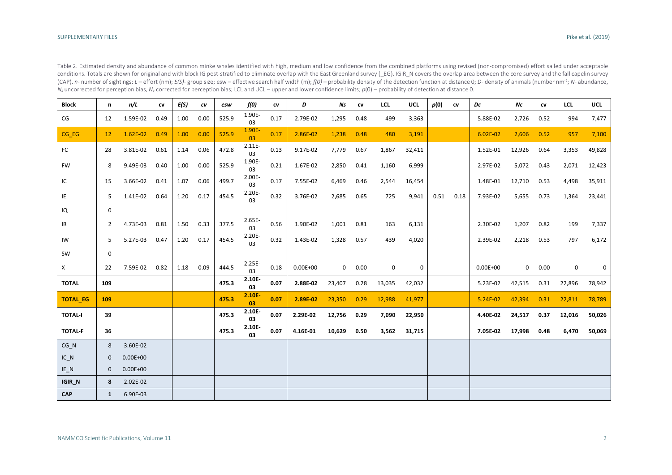| Table 2. Estimated density and abundance of common minke whales identified with high, medium and low confidence from the combined platforms using revised (non-compromised) effort sailed under acceptable                               |
|------------------------------------------------------------------------------------------------------------------------------------------------------------------------------------------------------------------------------------------|
| conditions. Totals are shown for original and with block IG post-stratified to eliminate overlap with the East Greenland survey (_EG). IGIR_N covers the overlap area between the core survey and the fall capelin survey                |
| (CAP). n- number of sightings; L - effort (nm); E(S)- group size; esw - effective search half width (m); $f(0)$ - probability density of the detection function at distance 0; D- density of animals (number nm <sup>-2</sup> ; N- abund |
| $N_s$ uncorrected for perception bias, $N_c$ corrected for perception bias; LCL and UCL – upper and lower confidence limits; $p(0)$ – probability of detection at distance 0.                                                            |

| <b>Block</b>    | n            | n/L          | CV   | F(S) | $\mathit{cv}$ | esw   | f(0)            | CV   | D            | Ns           | CV   | LCL    | <b>UCL</b> | p(0) | CV   | Dc           | Νc     | ${\sf cv}$ | LCL    | <b>UCL</b> |
|-----------------|--------------|--------------|------|------|---------------|-------|-----------------|------|--------------|--------------|------|--------|------------|------|------|--------------|--------|------------|--------|------------|
| CG              | 12           | 1.59E-02     | 0.49 | 1.00 | 0.00          | 525.9 | 1.90E-<br>03    | 0.17 | 2.79E-02     | 1,295        | 0.48 | 499    | 3,363      |      |      | 5.88E-02     | 2,726  | 0.52       | 994    | 7,477      |
| CG_EG           | 12           | $1.62E-02$   | 0.49 | 1.00 | 0.00          | 525.9 | 1.90E-<br>03    | 0.17 | 2.86E-02     | 1,238        | 0.48 | 480    | 3,191      |      |      | $6.02E - 02$ | 2,606  | 0.52       | 957    | 7,100      |
| FC              | 28           | 3.81E-02     | 0.61 | 1.14 | 0.06          | 472.8 | 2.11E-<br>03    | 0.13 | 9.17E-02     | 7,779        | 0.67 | 1,867  | 32,411     |      |      | 1.52E-01     | 12,926 | 0.64       | 3,353  | 49,828     |
| <b>FW</b>       | 8            | 9.49E-03     | 0.40 | 1.00 | 0.00          | 525.9 | 1.90E-<br>03    | 0.21 | 1.67E-02     | 2,850        | 0.41 | 1,160  | 6,999      |      |      | 2.97E-02     | 5,072  | 0.43       | 2,071  | 12,423     |
| IC              | 15           | 3.66E-02     | 0.41 | 1.07 | 0.06          | 499.7 | 2.00E-<br>03    | 0.17 | 7.55E-02     | 6,469        | 0.46 | 2,544  | 16,454     |      |      | 1.48E-01     | 12,710 | 0.53       | 4,498  | 35,911     |
| ΙE              | 5            | 1.41E-02     | 0.64 | 1.20 | 0.17          | 454.5 | 2.20E-<br>03    | 0.32 | 3.76E-02     | 2,685        | 0.65 | 725    | 9,941      | 0.51 | 0.18 | 7.93E-02     | 5,655  | 0.73       | 1,364  | 23,441     |
| IQ              | 0            |              |      |      |               |       |                 |      |              |              |      |        |            |      |      |              |        |            |        |            |
| IR              | 2            | 4.73E-03     | 0.81 | 1.50 | 0.33          | 377.5 | 2.65E-<br>03    | 0.56 | 1.90E-02     | 1,001        | 0.81 | 163    | 6,131      |      |      | 2.30E-02     | 1,207  | 0.82       | 199    | 7,337      |
| IW              | 5            | 5.27E-03     | 0.47 | 1.20 | 0.17          | 454.5 | 2.20E-<br>03    | 0.32 | 1.43E-02     | 1,328        | 0.57 | 439    | 4,020      |      |      | 2.39E-02     | 2,218  | 0.53       | 797    | 6,172      |
| SW              | 0            |              |      |      |               |       |                 |      |              |              |      |        |            |      |      |              |        |            |        |            |
| X               | 22           | 7.59E-02     | 0.82 | 1.18 | 0.09          | 444.5 | $2.25E -$<br>03 | 0.18 | $0.00E + 00$ | $\mathbf{0}$ | 0.00 | 0      | 0          |      |      | $0.00E + 00$ | 0      | 0.00       | 0      | 0          |
| <b>TOTAL</b>    | 109          |              |      |      |               | 475.3 | 2.10E-<br>03    | 0.07 | 2.88E-02     | 23,407       | 0.28 | 13,035 | 42,032     |      |      | 5.23E-02     | 42,515 | 0.31       | 22,896 | 78,942     |
| <b>TOTAL_EG</b> | 109          |              |      |      |               | 475.3 | 2.10E<br>03     | 0.07 | 2.89E-02     | 23,350       | 0.29 | 12,988 | 41,977     |      |      | $5.24E-02$   | 42,394 | 0.31       | 22,811 | 78,789     |
| <b>TOTAL-I</b>  | 39           |              |      |      |               | 475.3 | 2.10E-<br>03    | 0.07 | 2.29E-02     | 12,756       | 0.29 | 7,090  | 22,950     |      |      | 4.40E-02     | 24,517 | 0.37       | 12,016 | 50,026     |
| <b>TOTAL-F</b>  | 36           |              |      |      |               | 475.3 | 2.10E-<br>03    | 0.07 | 4.16E-01     | 10,629       | 0.50 | 3,562  | 31,715     |      |      | 7.05E-02     | 17,998 | 0.48       | 6,470  | 50,069     |
| CG N            | 8            | 3.60E-02     |      |      |               |       |                 |      |              |              |      |        |            |      |      |              |        |            |        |            |
| $IC_N$          | $\mathbf 0$  | $0.00E + 00$ |      |      |               |       |                 |      |              |              |      |        |            |      |      |              |        |            |        |            |
| $IE_N$          | $\mathbf 0$  | $0.00E + 00$ |      |      |               |       |                 |      |              |              |      |        |            |      |      |              |        |            |        |            |
| IGIR_N          | 8            | 2.02E-02     |      |      |               |       |                 |      |              |              |      |        |            |      |      |              |        |            |        |            |
| <b>CAP</b>      | $\mathbf{1}$ | 6.90E-03     |      |      |               |       |                 |      |              |              |      |        |            |      |      |              |        |            |        |            |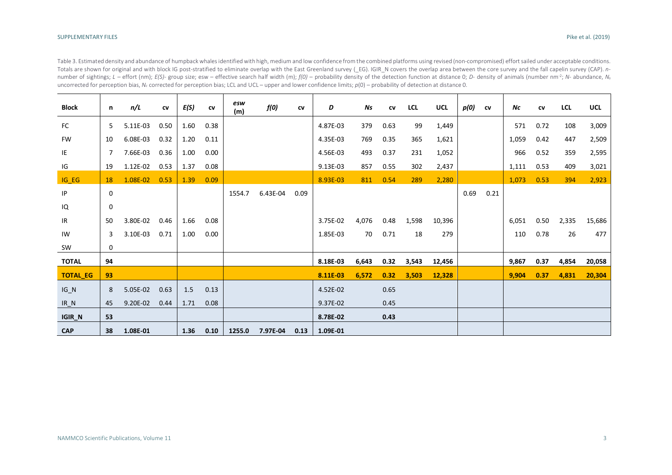Table 3. Estimated density and abundance of humpback whales identified with high, medium and low confidence from the combined platforms using revised (non-compromised) effort sailed under acceptable conditions. Totals are shown for original and with block IG post-stratified to eliminate overlap with the East Greenland survey (\_EG). IGIR\_N covers the overlap area between the core survey and the fall capelin survey (CAP). *n*number of sightings; L – effort (nm); E(S)- group size; esw – effective search half width (m);  $f(0)$  – probability density of the detection function at distance 0; D- density of animals (number nm<sup>-2</sup>; N- abundance, N<sub>5</sub> uncorrected for perception bias, *Nc* corrected for perception bias; LCL and UCL – upper and lower confidence limits; *p*(0) – probability of detection at distance 0.

| <b>Block</b>    | n  | n/L      | CV   | E(S) | CV   | esw<br>(m) | f(0)     | CV   | D        | Ns    | CV   | <b>LCL</b> | <b>UCL</b> | p(0) | CV   | Nc    | <b>CV</b> | <b>LCL</b> | <b>UCL</b> |
|-----------------|----|----------|------|------|------|------------|----------|------|----------|-------|------|------------|------------|------|------|-------|-----------|------------|------------|
| <b>FC</b>       | 5  | 5.11E-03 | 0.50 | 1.60 | 0.38 |            |          |      | 4.87E-03 | 379   | 0.63 | 99         | 1,449      |      |      | 571   | 0.72      | 108        | 3,009      |
| <b>FW</b>       | 10 | 6.08E-03 | 0.32 | 1.20 | 0.11 |            |          |      | 4.35E-03 | 769   | 0.35 | 365        | 1,621      |      |      | 1,059 | 0.42      | 447        | 2,509      |
| IE              | 7  | 7.66E-03 | 0.36 | 1.00 | 0.00 |            |          |      | 4.56E-03 | 493   | 0.37 | 231        | 1,052      |      |      | 966   | 0.52      | 359        | 2,595      |
| IG              | 19 | 1.12E-02 | 0.53 | 1.37 | 0.08 |            |          |      | 9.13E-03 | 857   | 0.55 | 302        | 2,437      |      |      | 1,111 | 0.53      | 409        | 3,021      |
| $IG_EG$         | 18 | 1.08E-02 | 0.53 | 1.39 | 0.09 |            |          |      | 8.93E-03 | 811   | 0.54 | 289        | 2,280      |      |      | 1,073 | 0.53      | 394        | 2,923      |
| IP              | 0  |          |      |      |      | 1554.7     | 6.43E-04 | 0.09 |          |       |      |            |            | 0.69 | 0.21 |       |           |            |            |
| IQ              | 0  |          |      |      |      |            |          |      |          |       |      |            |            |      |      |       |           |            |            |
| IR              | 50 | 3.80E-02 | 0.46 | 1.66 | 0.08 |            |          |      | 3.75E-02 | 4,076 | 0.48 | 1,598      | 10,396     |      |      | 6,051 | 0.50      | 2,335      | 15,686     |
| IW              | 3  | 3.10E-03 | 0.71 | 1.00 | 0.00 |            |          |      | 1.85E-03 | 70    | 0.71 | 18         | 279        |      |      | 110   | 0.78      | 26         | 477        |
| SW              | 0  |          |      |      |      |            |          |      |          |       |      |            |            |      |      |       |           |            |            |
| <b>TOTAL</b>    | 94 |          |      |      |      |            |          |      | 8.18E-03 | 6,643 | 0.32 | 3,543      | 12,456     |      |      | 9,867 | 0.37      | 4,854      | 20,058     |
| <b>TOTAL_EG</b> | 93 |          |      |      |      |            |          |      | 8.11E-03 | 6,572 | 0.32 | 3,503      | 12,328     |      |      | 9,904 | 0.37      | 4,831      | 20,304     |
| $IG_N$          | 8  | 5.05E-02 | 0.63 | 1.5  | 0.13 |            |          |      | 4.52E-02 |       | 0.65 |            |            |      |      |       |           |            |            |
| $IR_N$          | 45 | 9.20E-02 | 0.44 | 1.71 | 0.08 |            |          |      | 9.37E-02 |       | 0.45 |            |            |      |      |       |           |            |            |
| <b>IGIR_N</b>   | 53 |          |      |      |      |            |          |      | 8.78E-02 |       | 0.43 |            |            |      |      |       |           |            |            |
| <b>CAP</b>      | 38 | 1.08E-01 |      | 1.36 | 0.10 | 1255.0     | 7.97E-04 | 0.13 | 1.09E-01 |       |      |            |            |      |      |       |           |            |            |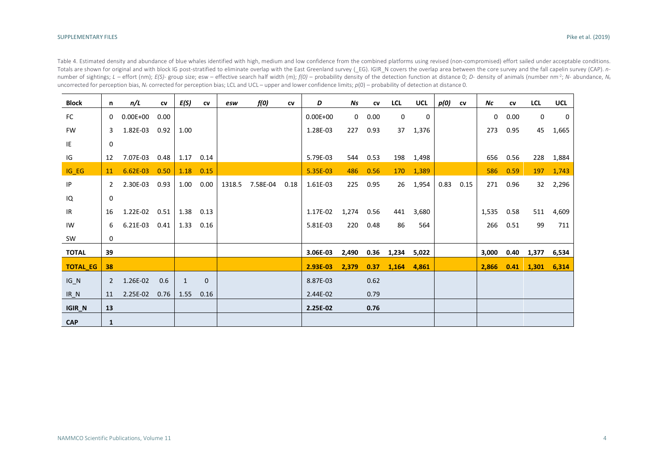Table 4. Estimated density and abundance of blue whales identified with high, medium and low confidence from the combined platforms using revised (non-compromised) effort sailed under acceptable conditions. Totals are shown for original and with block IG post-stratified to eliminate overlap with the East Greenland survey (\_EG). IGIR\_N covers the overlap area between the core survey and the fall capelin survey (CAP). *n*number of sightings; L – effort (nm); E(S)- group size; esw – effective search half width (m);  $f(0)$  – probability density of the detection function at distance 0; D- density of animals (number nm<sup>-2</sup>; N- abundance, N<sub>5</sub> uncorrected for perception bias, *Nc* corrected for perception bias; LCL and UCL – upper and lower confidence limits; *p*(0) – probability of detection at distance 0.

| <b>Block</b>    | n            | n/L          | CV   | E(S)         | CV       | esw    | f(0)     | CV   | D            | Ns          | CV   | <b>LCL</b>  | <b>UCL</b> | p(0) | CV   | Νc         | CV   | <b>LCL</b> | <b>UCL</b> |
|-----------------|--------------|--------------|------|--------------|----------|--------|----------|------|--------------|-------------|------|-------------|------------|------|------|------------|------|------------|------------|
| FC              | 0            | $0.00E + 00$ | 0.00 |              |          |        |          |      | $0.00E + 00$ | $\mathbf 0$ | 0.00 | $\Omega$    | 0          |      |      | 0          | 0.00 | 0          | 0          |
| <b>FW</b>       | 3            | 1.82E-03     | 0.92 | 1.00         |          |        |          |      | 1.28E-03     | 227         | 0.93 | 37          | 1,376      |      |      | 273        | 0.95 | 45         | 1,665      |
| IE              | 0            |              |      |              |          |        |          |      |              |             |      |             |            |      |      |            |      |            |            |
| IG              | 12           | 7.07E-03     | 0.48 | 1.17         | 0.14     |        |          |      | 5.79E-03     | 544         | 0.53 |             | 198 1,498  |      |      | 656        | 0.56 |            | 228 1,884  |
| $IG_EG$         | 11           | $6.62E-03$   | 0.50 | 1.18         | 0.15     |        |          |      | 5.35E-03     | 486         | 0.56 |             | 170 1,389  |      |      | 586        | 0.59 | 197        | 1,743      |
| IP              | $\mathbf{2}$ | 2.30E-03     | 0.93 | 1.00         | 0.00     | 1318.5 | 7.58E-04 | 0.18 | 1.61E-03     | 225         | 0.95 | 26          | 1,954      | 0.83 | 0.15 | 271        | 0.96 |            | 32 2,296   |
| IQ              | 0            |              |      |              |          |        |          |      |              |             |      |             |            |      |      |            |      |            |            |
| IR              | 16           | 1.22E-02     | 0.51 | 1.38         | 0.13     |        |          |      | 1.17E-02     | 1,274       | 0.56 | 441         | 3,680      |      |      | 1,535 0.58 |      | 511        | 4,609      |
| IW              | 6            | 6.21E-03     | 0.41 | 1.33         | 0.16     |        |          |      | 5.81E-03     | 220         | 0.48 | 86          | 564        |      |      | 266        | 0.51 | 99         | 711        |
| SW              | 0            |              |      |              |          |        |          |      |              |             |      |             |            |      |      |            |      |            |            |
| <b>TOTAL</b>    | 39           |              |      |              |          |        |          |      | 3.06E-03     | 2,490       | 0.36 | 1,234 5,022 |            |      |      | 3,000      | 0.40 | 1,377      | 6,534      |
| <b>TOTAL_EG</b> | 38           |              |      |              |          |        |          |      | 2.93E-03     | 2,379       | 0.37 | 1,164 4,861 |            |      |      | 2,866      | 0.41 | 1,301      | 6,314      |
| $IG_N$          | 2            | 1.26E-02     | 0.6  | $\mathbf{1}$ | $\Omega$ |        |          |      | 8.87E-03     |             | 0.62 |             |            |      |      |            |      |            |            |
| $IR_N$          | 11           | 2.25E-02     | 0.76 | 1.55         | 0.16     |        |          |      | 2.44E-02     |             | 0.79 |             |            |      |      |            |      |            |            |
| IGIR_N          | 13           |              |      |              |          |        |          |      | 2.25E-02     |             | 0.76 |             |            |      |      |            |      |            |            |
| <b>CAP</b>      | 1            |              |      |              |          |        |          |      |              |             |      |             |            |      |      |            |      |            |            |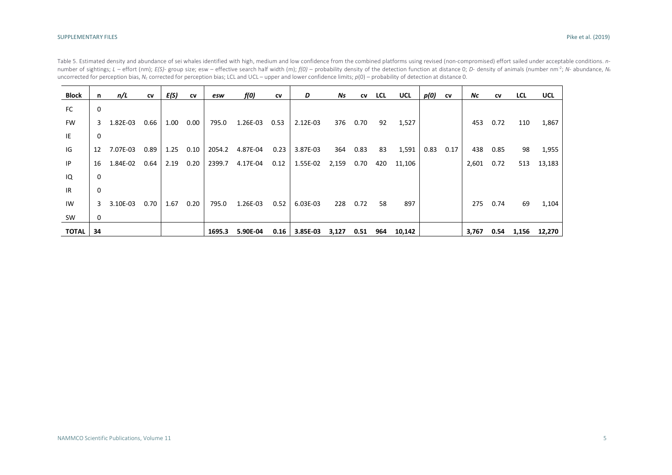| <b>Block</b> | n.           | n/L        | CV   | E(S) | <b>CV</b> | esw    | f(0)     | CV   | D        | Ns    | CV   | <b>LCL</b> | UCL    | p(0) | <b>CV</b> | Nc    | <b>CV</b> | <b>LCL</b> | <b>UCL</b> |
|--------------|--------------|------------|------|------|-----------|--------|----------|------|----------|-------|------|------------|--------|------|-----------|-------|-----------|------------|------------|
| <b>FC</b>    | 0            |            |      |      |           |        |          |      |          |       |      |            |        |      |           |       |           |            |            |
| <b>FW</b>    | $\mathbf{3}$ | 1.82E-03   | 0.66 | 1.00 | 0.00      | 795.0  | 1.26E-03 | 0.53 | 2.12E-03 | 376   | 0.70 | 92         | 1,527  |      |           | 453   | 0.72      | 110        | 1,867      |
| IE           | $\Omega$     |            |      |      |           |        |          |      |          |       |      |            |        |      |           |       |           |            |            |
| IG           | 12           | 7.07E-03   | 0.89 | 1.25 | 0.10      | 2054.2 | 4.87E-04 | 0.23 | 3.87E-03 | 364   | 0.83 | 83         | 1,591  | 0.83 | 0.17      | 438   | 0.85      | 98         | 1,955      |
| IP           | 16           | 1.84E-02   | 0.64 | 2.19 | 0.20      | 2399.7 | 4.17E-04 | 0.12 | 1.55E-02 | 2,159 | 0.70 | 420        | 11,106 |      |           | 2,601 | 0.72      | 513        | 13,183     |
| IQ           | $\Omega$     |            |      |      |           |        |          |      |          |       |      |            |        |      |           |       |           |            |            |
| <b>IR</b>    | 0            |            |      |      |           |        |          |      |          |       |      |            |        |      |           |       |           |            |            |
| IW           |              | 3 3.10E-03 | 0.70 | 1.67 | 0.20      | 795.0  | 1.26E-03 | 0.52 | 6.03E-03 | 228   | 0.72 | 58         | 897    |      |           |       | 275 0.74  | 69         | 1,104      |
| SW           | 0            |            |      |      |           |        |          |      |          |       |      |            |        |      |           |       |           |            |            |
| <b>TOTAL</b> | 34           |            |      |      |           | 1695.3 | 5.90E-04 | 0.16 | 3.85E-03 | 3,127 | 0.51 | 964        | 10,142 |      |           | 3,767 | 0.54      | 1,156      | 12,270     |

Table 5. Estimated density and abundance of sei whales identified with high, medium and low confidence from the combined platforms using revised (non-compromised) effort sailed under acceptable conditions. *n*number of sightings; L - effort (nm); E(S)- group size; esw - effective search half width (m);  $f(0)$  - probability density of the detection function at distance 0; D- density of animals (number nm<sup>-2</sup>; N- abundance, N<sub>s</sub> uncorrected for perception bias, N<sub>c</sub> corrected for perception bias; LCL and UCL – upper and lower confidence limits;  $p(0)$  – probability of detection at distance 0.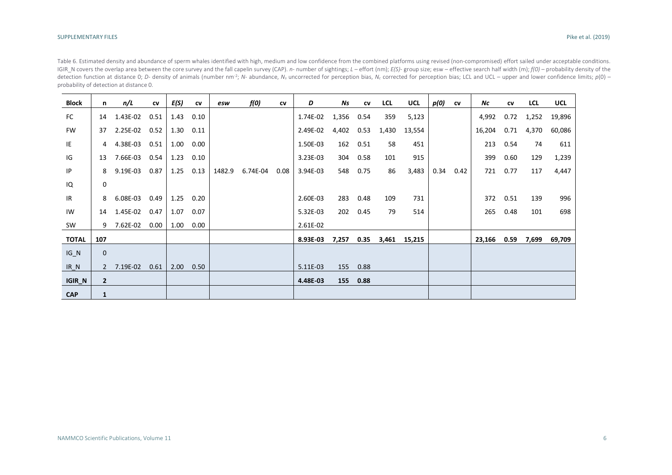Table 6. Estimated density and abundance of sperm whales identified with high, medium and low confidence from the combined platforms using revised (non-compromised) effort sailed under acceptable conditions. IGIR\_N covers the overlap area between the core survey and the fall capelin survey (CAP). n- number of sightings; L - effort (nm); E(S)- group size; esw - effective search half width (m); f(0) - probability density of the detection function at distance 0; D- density of animals (number nm<sup>-2</sup>; N- abundance, N<sub>s</sub> uncorrected for perception bias, N<sub>c</sub> corrected for perception bias; LCL and UCL – upper and lower confidence limits;  $p(0)$  – probability of detection at distance 0.

| <b>Block</b>  | n              | n/L        | CV   | E(S) | CV   | esw    | f(0)     | CV   | D        | Ns    | CV   | LCL   | <b>UCL</b> | p(0) | CV   | Νc     | CV   | <b>LCL</b> | <b>UCL</b> |
|---------------|----------------|------------|------|------|------|--------|----------|------|----------|-------|------|-------|------------|------|------|--------|------|------------|------------|
| <b>FC</b>     | 14             | 1.43E-02   | 0.51 | 1.43 | 0.10 |        |          |      | 1.74E-02 | 1,356 | 0.54 | 359   | 5,123      |      |      | 4,992  | 0.72 | 1,252      | 19,896     |
| <b>FW</b>     | 37             | 2.25E-02   | 0.52 | 1.30 | 0.11 |        |          |      | 2.49E-02 | 4,402 | 0.53 | 1,430 | 13,554     |      |      | 16,204 | 0.71 | 4,370      | 60,086     |
| IE            | 4              | 4.38E-03   | 0.51 | 1.00 | 0.00 |        |          |      | 1.50E-03 | 162   | 0.51 | 58    | 451        |      |      | 213    | 0.54 | 74         | 611        |
| IG            | 13             | 7.66E-03   | 0.54 | 1.23 | 0.10 |        |          |      | 3.23E-03 | 304   | 0.58 | 101   | 915        |      |      | 399    | 0.60 | 129        | 1,239      |
| IP            | 8              | 9.19E-03   | 0.87 | 1.25 | 0.13 | 1482.9 | 6.74E-04 | 0.08 | 3.94E-03 | 548   | 0.75 | 86    | 3,483      | 0.34 | 0.42 | 721    | 0.77 | 117        | 4,447      |
| IQ            | 0              |            |      |      |      |        |          |      |          |       |      |       |            |      |      |        |      |            |            |
| IR.           | 8              | 6.08E-03   | 0.49 | 1.25 | 0.20 |        |          |      | 2.60E-03 | 283   | 0.48 | 109   | 731        |      |      | 372    | 0.51 | 139        | 996        |
| IW            | 14             | 1.45E-02   | 0.47 | 1.07 | 0.07 |        |          |      | 5.32E-03 | 202   | 0.45 | 79    | 514        |      |      | 265    | 0.48 | 101        | 698        |
| SW            |                | 9 7.62E-02 | 0.00 | 1.00 | 0.00 |        |          |      | 2.61E-02 |       |      |       |            |      |      |        |      |            |            |
| <b>TOTAL</b>  | 107            |            |      |      |      |        |          |      | 8.93E-03 | 7,257 | 0.35 | 3,461 | 15,215     |      |      | 23,166 | 0.59 | 7,699      | 69,709     |
| $IG_N$        | $\mathbf 0$    |            |      |      |      |        |          |      |          |       |      |       |            |      |      |        |      |            |            |
| $IR_N$        | $\mathcal{P}$  | 7.19E-02   | 0.61 | 2.00 | 0.50 |        |          |      | 5.11E-03 | 155   | 0.88 |       |            |      |      |        |      |            |            |
| <b>IGIR_N</b> | $\overline{2}$ |            |      |      |      |        |          |      | 4.48E-03 | 155   | 0.88 |       |            |      |      |        |      |            |            |
| <b>CAP</b>    | $\mathbf{1}$   |            |      |      |      |        |          |      |          |       |      |       |            |      |      |        |      |            |            |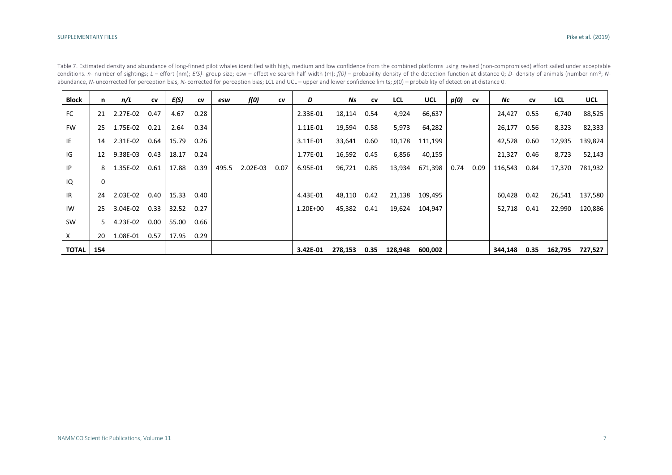| <b>Block</b> | n.  | n/L      | CV   | E(S)  | CV   | esw   | f(0)     | <b>CV</b> | D            | Ns      | <b>CV</b> | <b>LCL</b> | <b>UCL</b> | p(0) | CV   | Νc          | <b>CV</b> | LCL     | <b>UCL</b> |
|--------------|-----|----------|------|-------|------|-------|----------|-----------|--------------|---------|-----------|------------|------------|------|------|-------------|-----------|---------|------------|
| FC           | 21  | 2.27E-02 | 0.47 | 4.67  | 0.28 |       |          |           | 2.33E-01     | 18,114  | 0.54      | 4,924      | 66,637     |      |      | 24,427 0.55 |           | 6,740   | 88,525     |
| <b>FW</b>    | 25. | 1.75E-02 | 0.21 | 2.64  | 0.34 |       |          |           | 1.11E-01     | 19,594  | 0.58      | 5,973      | 64,282     |      |      | 26,177 0.56 |           | 8,323   | 82,333     |
| IE           | 14  | 2.31E-02 | 0.64 | 15.79 | 0.26 |       |          |           | 3.11E-01     | 33,641  | 0.60      | 10,178     | 111,199    |      |      | 42,528      | 0.60      | 12,935  | 139,824    |
| IG           | 12  | 9.38E-03 | 0.43 | 18.17 | 0.24 |       |          |           | 1.77E-01     | 16,592  | 0.45      | 6,856      | 40,155     |      |      | 21,327      | 0.46      | 8,723   | 52,143     |
| IP           | 8   | 1.35E-02 | 0.61 | 17.88 | 0.39 | 495.5 | 2.02E-03 | 0.07      | 6.95E-01     | 96,721  | 0.85      | 13,934     | 671,398    | 0.74 | 0.09 | 116,543     | 0.84      | 17,370  | 781,932    |
| IQ           | 0   |          |      |       |      |       |          |           |              |         |           |            |            |      |      |             |           |         |            |
| <b>IR</b>    | 24  | 2.03E-02 | 0.40 | 15.33 | 0.40 |       |          |           | 4.43E-01     | 48,110  | 0.42      | 21,138     | 109,495    |      |      | 60,428      | 0.42      | 26,541  | 137,580    |
| IW           | 25  | 3.04E-02 | 0.33 | 32.52 | 0.27 |       |          |           | $1.20E + 00$ | 45,382  | 0.41      | 19,624     | 104,947    |      |      | 52,718      | 0.41      | 22,990  | 120,886    |
| SW           | 5.  | 4.23E-02 | 0.00 | 55.00 | 0.66 |       |          |           |              |         |           |            |            |      |      |             |           |         |            |
| $\mathsf{X}$ | 20  | 1.08E-01 | 0.57 | 17.95 | 0.29 |       |          |           |              |         |           |            |            |      |      |             |           |         |            |
| <b>TOTAL</b> | 154 |          |      |       |      |       |          |           | 3.42E-01     | 278,153 | 0.35      | 128,948    | 600,002    |      |      | 344,148     | 0.35      | 162,795 | 727,527    |

Table 7. Estimated density and abundance of long-finned pilot whales identified with high, medium and low confidence from the combined platforms using revised (non-compromised) effort sailed under acceptable conditions. n- number of sightings; L - effort (nm); E(S)- group size; esw - effective search half width (m);  $f(0)$  - probability density of the detection function at distance 0; D- density of animals (number nm<sup>2</sup>; Nabundance, *N<sub>s</sub>* uncorrected for perception bias, *N<sub>c</sub>* corrected for perception bias; LCL and UCL – upper and lower confidence limits;  $p(0)$  – probability of detection at distance 0.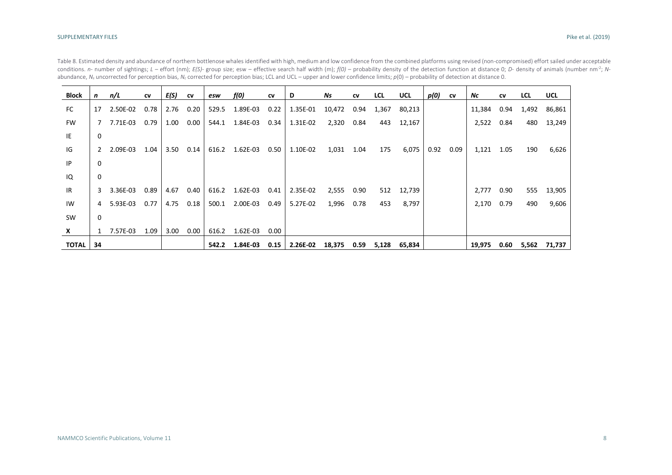| Block        | n  | n/L        | CV   | E(S) | <b>CV</b> | esw   | f(0)           | CV   | D                                | Ns     | <b>CV</b> | <b>LCL</b> | <b>UCL</b> | p(0) | CV   | Νc         | <b>CV</b> | <b>LCL</b> | <b>UCL</b>   |
|--------------|----|------------|------|------|-----------|-------|----------------|------|----------------------------------|--------|-----------|------------|------------|------|------|------------|-----------|------------|--------------|
| FC           | 17 | 2.50E-02   | 0.78 | 2.76 | 0.20      | 529.5 | 1.89E-03       | 0.22 | 1.35E-01                         | 10,472 | 0.94      | 1,367      | 80,213     |      |      | 11,384     | 0.94      | 1,492      | 86,861       |
| <b>FW</b>    |    | 7 7.71E-03 | 0.79 | 1.00 | 0.00      | 544.1 | 1.84E-03       | 0.34 | 1.31E-02                         | 2,320  | 0.84      | 443        | 12,167     |      |      | 2,522      | 0.84      | 480        | 13,249       |
| IE           | 0  |            |      |      |           |       |                |      |                                  |        |           |            |            |      |      |            |           |            |              |
| IG           | 2  | 2.09E-03   | 1.04 | 3.50 | 0.14      | 616.2 | 1.62E-03       | 0.50 | 1.10E-02                         | 1,031  | 1.04      | 175        | 6,075      | 0.92 | 0.09 | 1,121      | 1.05      | 190        | 6,626        |
| P            | 0  |            |      |      |           |       |                |      |                                  |        |           |            |            |      |      |            |           |            |              |
| IQ           | 0  |            |      |      |           |       |                |      |                                  |        |           |            |            |      |      |            |           |            |              |
| <b>IR</b>    | 3  | 3.36E-03   | 0.89 | 4.67 | 0.40      |       | 616.2 1.62E-03 | 0.41 | 2.35E-02                         | 2,555  | 0.90      |            | 512 12,739 |      |      | 2,777      | 0.90      | 555        | 13,905       |
| IW           | 4  | 5.93E-03   | 0.77 | 4.75 | 0.18      | 500.1 | 2.00E-03       | 0.49 | 5.27E-02                         | 1,996  | 0.78      | 453        | 8,797      |      |      | 2,170 0.79 |           | 490        | 9,606        |
| SW           | 0  |            |      |      |           |       |                |      |                                  |        |           |            |            |      |      |            |           |            |              |
| X            |    | 1 7.57E-03 | 1.09 | 3.00 | 0.00      | 616.2 | $1.62E-03$     | 0.00 |                                  |        |           |            |            |      |      |            |           |            |              |
| <b>TOTAL</b> | 34 |            |      |      |           | 542.2 |                |      | $1.84E-03$ 0.15 $\vert$ 2.26E-02 | 18,375 | 0.59      | 5,128      | 65,834     |      |      | 19,975     | 0.60      |            | 5,562 71,737 |

Table 8. Estimated density and abundance of northern bottlenose whales identified with high, medium and low confidence from the combined platforms using revised (non-compromised) effort sailed under acceptable conditions. n- number of sightings; L - effort (nm); E(S)- group size; esw - effective search half width (m);  $f(0)$  - probability density of the detection function at distance 0; D- density of animals (number nm<sup>2</sup>; Nabundance, *N<sub>s</sub>* uncorrected for perception bias, *N<sub>c</sub>* corrected for perception bias; LCL and UCL – upper and lower confidence limits;  $p(0)$  – probability of detection at distance 0.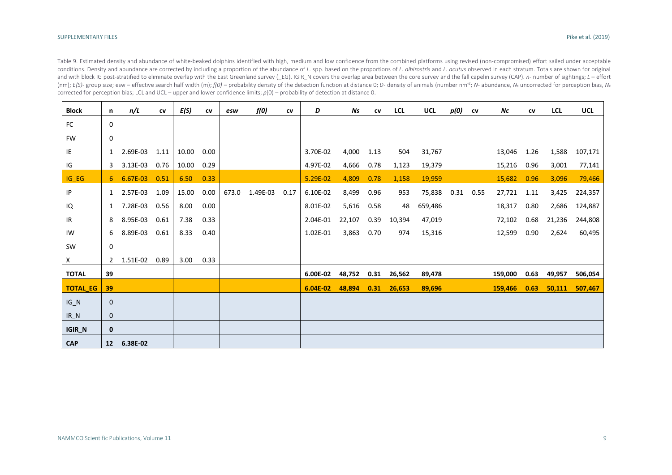Table 9. Estimated density and abundance of white-beaked dolphins identified with high, medium and low confidence from the combined platforms using revised (non-compromised) effort sailed under acceptable conditions. Density and abundance are corrected by including a proportion of the abundance of L. spp. based on the proportions of L. albirostris and L. acutus observed in each stratum. Totals are shown for original and with block IG post-stratified to eliminate overlap with the East Greenland survey (EG). IGIR N covers the overlap area between the core survey and the fall capelin survey (CAP). n- number of sightings; L - effort (nm):  $E(S)$ - group size: esw – effective search half width (m):  $f(0)$  – probability density of the detection function at distance 0: D- density of animals (number nm<sup>-2</sup>: N- abundance. N<sub>5</sub> uncorrected for perception bia corrected for perception bias; LCL and UCL – upper and lower confidence limits; *p*(0) – probability of detection at distance 0.

| <b>Block</b>    | n               | n/L        | CV   | E(S)  | ${\sf cv}$ | esw   | f(0)     | CV   | D          | Ns     | CV   | <b>LCL</b> | <b>UCL</b> | p(0) | CV   | Νc      | CV   | <b>LCL</b> | <b>UCL</b> |
|-----------------|-----------------|------------|------|-------|------------|-------|----------|------|------------|--------|------|------------|------------|------|------|---------|------|------------|------------|
| <b>FC</b>       | $\mathbf 0$     |            |      |       |            |       |          |      |            |        |      |            |            |      |      |         |      |            |            |
| <b>FW</b>       | 0               |            |      |       |            |       |          |      |            |        |      |            |            |      |      |         |      |            |            |
| IE              | $\mathbf{1}$    | 2.69E-03   | 1.11 | 10.00 | 0.00       |       |          |      | 3.70E-02   | 4,000  | 1.13 | 504        | 31,767     |      |      | 13,046  | 1.26 | 1,588      | 107,171    |
| IG              | 3               | 3.13E-03   | 0.76 | 10.00 | 0.29       |       |          |      | 4.97E-02   | 4,666  | 0.78 | 1,123      | 19,379     |      |      | 15,216  | 0.96 | 3,001      | 77,141     |
| $IG_EG$         |                 | 6 6.67E-03 | 0.51 | 6.50  | 0.33       |       |          |      | 5.29E-02   | 4,809  | 0.78 | 1,158      | 19,959     |      |      | 15,682  | 0.96 | 3,096      | 79,466     |
| IP              | $\mathbf{1}$    | 2.57E-03   | 1.09 | 15.00 | 0.00       | 673.0 | 1.49E-03 | 0.17 | 6.10E-02   | 8,499  | 0.96 | 953        | 75,838     | 0.31 | 0.55 | 27,721  | 1.11 | 3,425      | 224,357    |
| IQ              | 1               | 7.28E-03   | 0.56 | 8.00  | 0.00       |       |          |      | 8.01E-02   | 5,616  | 0.58 | 48         | 659,486    |      |      | 18,317  | 0.80 | 2,686      | 124,887    |
| IR              | 8               | 8.95E-03   | 0.61 | 7.38  | 0.33       |       |          |      | 2.04E-01   | 22,107 | 0.39 | 10,394     | 47,019     |      |      | 72,102  | 0.68 | 21,236     | 244,808    |
| IW              | 6               | 8.89E-03   | 0.61 | 8.33  | 0.40       |       |          |      | 1.02E-01   | 3,863  | 0.70 | 974        | 15,316     |      |      | 12,599  | 0.90 | 2,624      | 60,495     |
| SW              | 0               |            |      |       |            |       |          |      |            |        |      |            |            |      |      |         |      |            |            |
| X               | $2^{\circ}$     | 1.51E-02   | 0.89 | 3.00  | 0.33       |       |          |      |            |        |      |            |            |      |      |         |      |            |            |
| <b>TOTAL</b>    | 39              |            |      |       |            |       |          |      | 6.00E-02   | 48,752 | 0.31 | 26,562     | 89,478     |      |      | 159,000 | 0.63 | 49,957     | 506,054    |
| <b>TOTAL_EG</b> | 39              |            |      |       |            |       |          |      | $6.04E-02$ | 48,894 | 0.31 | 26,653     | 89,696     |      |      | 159,466 | 0.63 | 50,111     | 507,467    |
| $IG_N$          | $\mathbf{0}$    |            |      |       |            |       |          |      |            |        |      |            |            |      |      |         |      |            |            |
| $IR_N$          | $\mathbf{0}$    |            |      |       |            |       |          |      |            |        |      |            |            |      |      |         |      |            |            |
| IGIR_N          | 0               |            |      |       |            |       |          |      |            |        |      |            |            |      |      |         |      |            |            |
| <b>CAP</b>      | 12 <sup>7</sup> | 6.38E-02   |      |       |            |       |          |      |            |        |      |            |            |      |      |         |      |            |            |